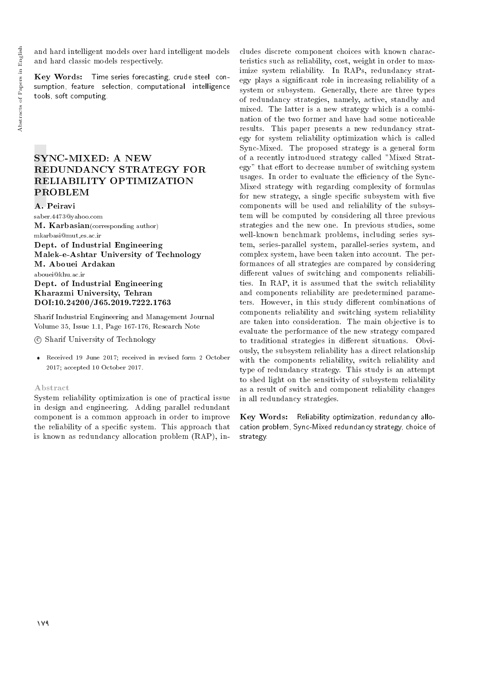and hard intelligent models over hard intelligent models and hard classic models respectively.

Key Words: Time series forecasting, crude steel consumption, feature selection, computational intelligence tools, soft computing.

## SYNC-MIXED: A NEW REDUNDANCY STRATEGY FOR RELIABILITY OPTIMIZATION PROBLEM

A. Peiravi saber.4473@yahoo.com M. Karbasian(corresponding author) mkarbasi@mut es.ac.ir Dept. of Industrial Engineering Malek-e-Ashtar University of Technology M. Abouei Ardakan

abouei@khu.ac.ir Dept. of Industrial Engineering

Kharazmi University, Tehran DOI:10.24200/J65.2019.7222.1763

Sharif Industrial Engineering and Management Journal Volume 35, Issue 1.1, Page 167-176, Research Note

c Sharif University of Technology

 Received 19 June 2017; received in revised form 2 October 2017; accepted 10 October 2017.

#### Abstract

System reliability optimization is one of practical issue in design and engineering. Adding parallel redundant component is a common approach in order to improve the reliability of a specic system. This approach that is known as redundancy allocation problem (RAP), includes discrete component choices with known characteristics such as reliability, cost, weight in order to maximize system reliability. In RAPs, redundancy strategy plays a signicant role in increasing reliability of a system or subsystem. Generally, there are three types of redundancy strategies, namely, active, standby and mixed. The latter is a new strategy which is a combination of the two former and have had some noticeable results. This paper presents a new redundancy strategy for system reliability optimization which is called Sync-Mixed. The proposed strategy is a general form of a recently introduced strategy called "Mixed Strategy" that effort to decrease number of switching system usages. In order to evaluate the efficiency of the Sync-Mixed strategy with regarding complexity of formulas for new strategy, a single specific subsystem with five components will be used and reliability of the subsystem will be computed by considering all three previous strategies and the new one. In previous studies, some well-known benchmark problems, including series system, series-parallel system, parallel-series system, and complex system, have been taken into account. The performances of all strategies are compared by considering different values of switching and components reliabilities. In RAP, it is assumed that the switch reliability and components reliability are predetermined parameters. However, in this study different combinations of components reliability and switching system reliability are taken into consideration. The main objective is to evaluate the performance of the new strategy compared to traditional strategies in different situations. Obviously, the subsystem reliability has a direct relationship with the components reliability, switch reliability and type of redundancy strategy. This study is an attempt to shed light on the sensitivity of subsystem reliability as a result of switch and component reliability changes in all redundancy strategies.

Key Words: Reliability optimization, redundancy allocation problem, Sync-Mixed redundancy strategy, choice of strategy.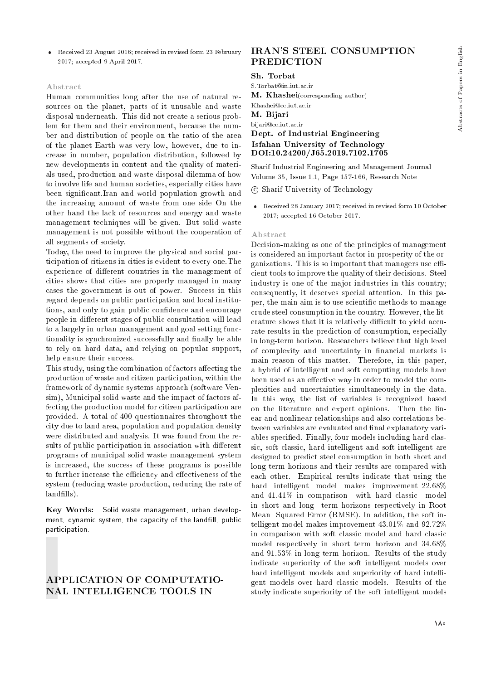Received 23 August 2016; received in revised form 23 February 2017; accepted 9 April 2017.

#### Abstract

Human communities long after the use of natural resources on the planet, parts of it unusable and waste disposal underneath. This did not create a serious problem for them and their environment, because the number and distribution of people on the ratio of the area of the planet Earth was very low, however, due to increase in number, population distribution, followed by new developments in content and the quality of materials used, production and waste disposal dilemma of how to involve life and human societies, especially cities have been signicant.Iran and world population growth and the increasing amount of waste from one side On the other hand the lack of resources and energy and waste management techniques will be given. But solid waste management is not possible without the cooperation of all segments of society.

Today, the need to improve the physical and social participation of citizens in cities is evident to every one.The experience of different countries in the management of cities shows that cities are properly managed in many cases the government is out of power. Success in this regard depends on public participation and local institutions, and only to gain public confidence and encourage people in different stages of public consultation will lead to a largely in urban management and goal setting functionality is synchronized successfully and finally be able to rely on hard data, and relying on popular support, help ensure their success.

This study, using the combination of factors affecting the production of waste and citizen participation, within the framework of dynamic systems approach (software Vensim), Municipal solid waste and the impact of factors affecting the production model for citizen participation are provided. A total of 400 questionnaires throughout the city due to land area, population and population density were distributed and analysis. It was found from the results of public participation in association with different programs of municipal solid waste management system is increased, the success of these programs is possible to further increase the efficiency and effectiveness of the system (reducing waste production, reducing the rate of landfills).

Key Words: Solid waste management, urban development, dynamic system, the capacity of the landfill, public participation.

## APPLICATION OF COMPUTATIO-NAL INTELLIGENCE TOOLS IN

# IRAN'S STEEL CONSUMPTION PREDICTION

#### Sh. Torbat

S.Torbat@in.iut.ac.ir

M. Khashei(corresponding author) Khashei@cc.iut.ac.ir

M. Bijari

#### bijari@cc.iut.ac.ir

## Dept. of Industrial Engineering DOI:10.24200/J65.2019.7102.1705 Isfahan University of Technology

Sharif Industrial Engineering and Management Journal Volume 35, Issue 1.1, Page 157-166, Research Note

c Sharif University of Technology

 Received 28 January 2017; received in revised form 10 October 2017; accepted 16 October 2017.

#### Abstract

Decision-making as one of the principles of management is considered an important factor in prosperity of the organizations. This is so important that managers use efficient tools to improve the quality of their decisions. Steel industry is one of the major industries in this country; consequently, it deserves special attention. In this paper, the main aim is to use scientic methods to manage crude steel consumption in the country. However, the literature shows that it is relatively difficult to yield accurate results in the prediction of consumption, especially in long-term horizon. Researchers believe that high level of complexity and uncertainty in financial markets is main reason of this matter. Therefore, in this paper, a hybrid of intelligent and soft computing models have been used as an effective way in order to model the complexities and uncertainties simultaneously in the data. In this way, the list of variables is recognized based on the literature and expert opinions. Then the linear and nonlinear relationships and also correlations between variables are evaluated and final explanatory variables specied. Finally, four models including hard classic, soft classic, hard intelligent and soft intelligent are designed to predict steel consumption in both short and long term horizons and their results are compared with each other. Empirical results indicate that using the hard intelligent model makes improvement 22.68% and 41.41% in comparison with hard classic model in short and long term horizons respectively in Root Mean Squared Error (RMSE). In addition, the soft intelligent model makes improvement 43.01% and 92.72% in comparison with soft classic model and hard classic model respectively in short term horizon and 34.68% and 91.53% in long term horizon. Results of the study indicate superiority of the soft intelligent models over hard intelligent models and superiority of hard intelligent models over hard classic models. Results of the study indicate superiority of the soft intelligent models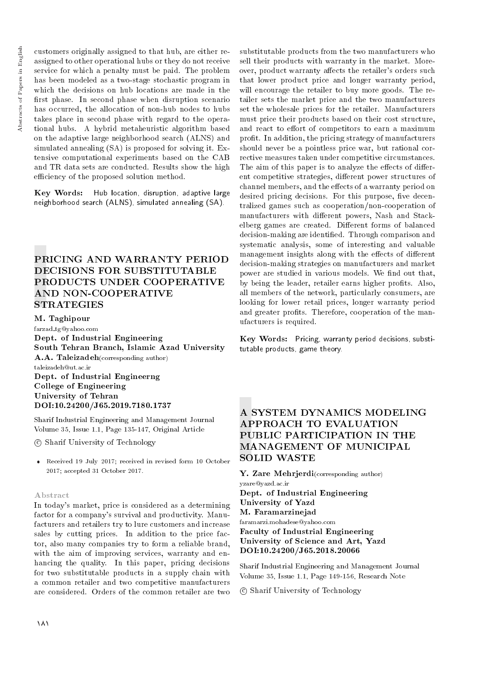customers originally assigned to that hub, are either reassigned to other operational hubs or they do not receive service for which a penalty must be paid. The problem has been modeled as a two-stage stochastic program in which the decisions on hub locations are made in the first phase. In second phase when disruption scenario has occurred, the allocation of non-hub nodes to hubs takes place in second phase with regard to the operational hubs. A hybrid metaheuristic algorithm based on the adaptive large neighborhood search (ALNS) and simulated annealing (SA) is proposed for solving it. Extensive computational experiments based on the CAB and TR data sets are conducted. Results show the high efficiency of the proposed solution method.

Key Words: Hub location, disruption, adaptive large neighborhood search (ALNS), simulated annealing (SA).

# PRICING AND WARRANTY PERIOD DECISIONS FOR SUBSTITUTABLE PRODUCTS UNDER COOPERATIVE AND NON-COOPERATIVE **STRATEGIES**

M. Taghipour

farzad tg@yahoo.com Dept. of Industrial Engineering South Tehran Branch, Islamic Azad University A.A. Taleizadeh(corresponding author) taleizadeh@ut.ac.ir Dept. of Industrial Engineerng College of Engineering University of Tehran DOI:10.24200/J65.2019.7180.1737

Sharif Industrial Engineering and Management Journal Volume 35, Issue 1.1, Page 135-147, Original Article

c Sharif University of Technology

 Received 19 July 2017; received in revised form 10 October 2017; accepted 31 October 2017.

## Abstract

In today's market, price is considered as a determining factor for a company's survival and productivity. Manufacturers and retailers try to lure customers and increase sales by cutting prices. In addition to the price factor, also many companies try to form a reliable brand, with the aim of improving services, warranty and enhancing the quality. In this paper, pricing decisions for two substitutable products in a supply chain with a common retailer and two competitive manufacturers are considered. Orders of the common retailer are two

substitutable products from the two manufacturers who sell their products with warranty in the market. Moreover, product warranty affects the retailer's orders such that lower product price and longer warranty period, will encourage the retailer to buy more goods. The retailer sets the market price and the two manufacturers set the wholesale prices for the retailer. Manufacturers must price their products based on their cost structure, and react to effort of competitors to earn a maximum profit. In addition, the pricing strategy of manufacturers should never be a pointless price war, but rational corrective measures taken under competitive circumstances. The aim of this paper is to analyze the effects of different competitive strategies, different power structures of channel members, and the effects of a warranty period on desired pricing decisions. For this purpose, five decentralized games such as cooperation/non-cooperation of manufacturers with different powers, Nash and Stackelberg games are created. Different forms of balanced decision-making are identied. Through comparison and systematic analysis, some of interesting and valuable management insights along with the effects of different decision-making strategies on manufacturers and market power are studied in various models. We find out that, by being the leader, retailer earns higher profits. Also, all members of the network, particularly consumers, are looking for lower retail prices, longer warranty period and greater profits. Therefore, cooperation of the manufacturers is required.

Key Words: Pricing, warranty period decisions, substitutable products, game theory.

# A SYSTEM DYNAMICS MODELING APPROACH TO EVALUATION PUBLIC PARTICIPATION IN THE MANAGEMENT OF MUNICIPAL SOLID WASTE

Y. Zare Mehrierdi(corresponding author) yzare@yazd.ac.ir Dept. of Industrial Engineering University of Yazd M. Faramarzinejad faramarzi.mohadese@yahoo.com Faculty of Industrial Engineering University of Science and Art, Yazd DOI:10.24200/J65.2018.20066

Sharif Industrial Engineering and Management Journal Volume 35, Issue 1.1, Page 149-156, Research Note

c Sharif University of Technology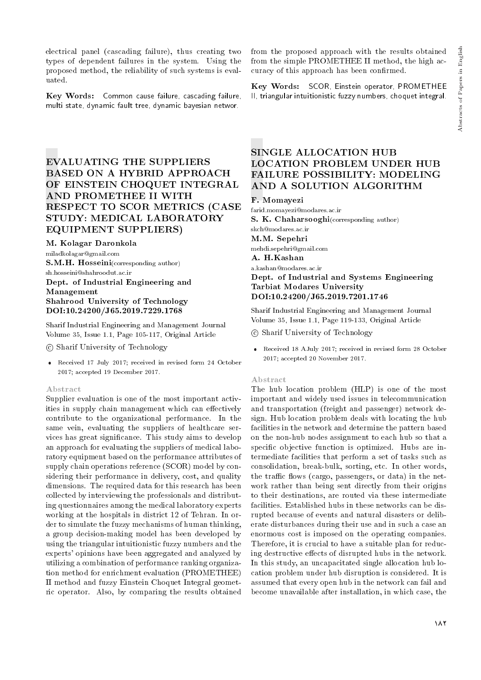electrical panel (cascading failure), thus creating two types of dependent failures in the system. Using the proposed method, the reliability of such systems is evaluated.

Key Words: Common cause failure, cascading failure, multi state, dynamic fault tree, dynamic bayesian networ.

# EVALUATING THE SUPPLIERS BASED ON A HYBRID APPROACH OF EINSTEIN CHOQUET INTEGRAL AND PROMETHEE II WITH RESPECT TO SCOR METRICS (CASE STUDY: MEDICAL LABORATORY EQUIPMENT SUPPLIERS)

M. Kolagar Daronkola

miladkolagar@gmail.com S.M.H. Hosseini(corresponding author) sh.hosseini@shahroodut.ac.ir Dept. of Industrial Engineering and

## Management Shahrood University of Technology DOI:10.24200/J65.2019.7229.1768

Sharif Industrial Engineering and Management Journal Volume 35, Issue 1.1, Page 105-117, Original Article

c Sharif University of Technology

 Received 17 July 2017; received in revised form 24 October 2017; accepted 19 December 2017.

#### Abstract

Supplier evaluation is one of the most important activities in supply chain management which can effectively contribute to the organizational performance. In the same vein, evaluating the suppliers of healthcare services has great signicance. This study aims to develop an approach for evaluating the suppliers of medical laboratory equipment based on the performance attributes of supply chain operations reference (SCOR) model by considering their performance in delivery, cost, and quality dimensions. The required data for this research has been collected by interviewing the professionals and distributing questionnaires among the medical laboratory experts working at the hospitals in district 12 of Tehran. In order to simulate the fuzzy mechanisms of human thinking, a group decision-making model has been developed by using the triangular intuitionistic fuzzy numbers and the experts' opinions have been aggregated and analyzed by utilizing a combination of performance ranking organization method for enrichment evaluation (PROMETHEE) II method and fuzzy Einstein Choquet Integral geometric operator. Also, by comparing the results obtained

from the proposed approach with the results obtained from the simple PROMETHEE II method, the high accuracy of this approach has been confirmed.

Key Words: SCOR, Einstein operator, PROMETHEE II, triangular intuitionistic fuzzy numbers, choquet integral.

# SINGLE ALLOCATION HUB LOCATION PROBLEM UNDER HUB FAILURE POSSIBILITY: MODELING AND A SOLUTION ALGORITHM

## F. Momayezi

farid.momayezi@modares.ac.ir S. K. Chaharsooghi(corresponding author) skch@modares.ac.ir M.M. Sepehri mehdi.sepehri@gmail.com A. H.Kashan a.kashan@modares.ac.ir Dept. of Industrial and Systems Engineering Tarbiat Modares University DOI:10.24200/J65.2019.7201.1746

Sharif Industrial Engineering and Management Journal Volume 35, Issue 1.1, Page 119-133, Original Article

c Sharif University of Technology

 Received 18 AJuly 2017; received in revised form 28 October 2017; accepted 20 November 2017.

#### Abstract

The hub location problem (HLP) is one of the most important and widely used issues in telecommunication and transportation (freight and passenger) network design. Hub location problem deals with locating the hub facilities in the network and determine the pattern based on the non-hub nodes assignment to each hub so that a specic objective function is optimized. Hubs are intermediate facilities that perform a set of tasks such as consolidation, break-bulk, sorting, etc. In other words, the traffic flows (cargo, passengers, or data) in the network rather than being sent directly from their origins to their destinations, are routed via these intermediate facilities. Established hubs in these networks can be disrupted because of events and natural disasters or deliberate disturbances during their use and in such a case an enormous cost is imposed on the operating companies. Therefore, it is crucial to have a suitable plan for reducing destructive effects of disrupted hubs in the network. In this study, an uncapacitated single allocation hub location problem under hub disruption is considered. It is assumed that every open hub in the network can fail and become unavailable after installation, in which case, the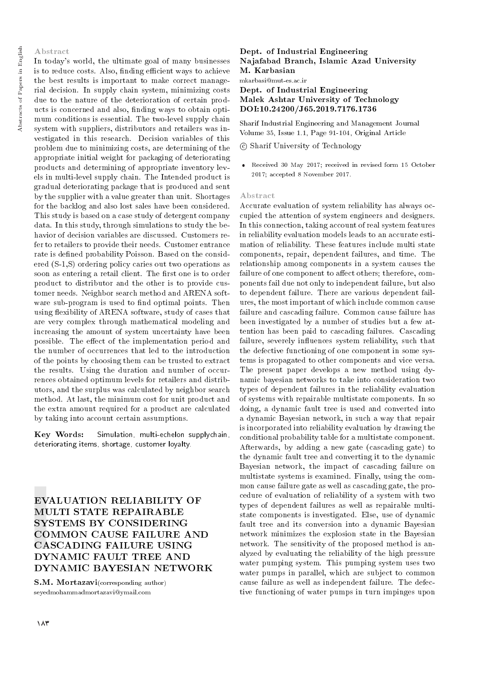## Abstract

In today's world, the ultimate goal of many businesses is to reduce costs. Also, finding efficient ways to achieve the best results is important to make correct managerial decision. In supply chain system, minimizing costs due to the nature of the deterioration of certain products is concerned and also, nding ways to obtain optimum conditions is essential. The two-level supply chain system with suppliers, distributors and retailers was investigated in this research. Decision variables of this problem due to minimizing costs, are determining of the appropriate initial weight for packaging of deteriorating products and determining of appropriate inventory levels in multi-level supply chain. The Intended product is gradual deteriorating package that is produced and sent by the supplier with a value greater than unit. Shortages for the backlog and also lost sales have been considered. This study is based on a case study of detergent company data. In this study, through simulations to study the behavior of decision variables are discussed. Customers refer to retailers to provide their needs. Customer entrance rate is defined probability Poisson. Based on the considered (S-1,S) ordering policy caries out two operations as soon as entering a retail client. The first one is to order product to distributor and the other is to provide customer needs. Neighbor search method and ARENA software sub-program is used to find optimal points. Then using flexibility of ARENA software, study of cases that are very complex through mathematical modeling and increasing the amount of system uncertainty have been possible. The effect of the implementation period and the number of occurrences that led to the introduction of the points by choosing them can be trusted to extract the results. Using the duration and number of occurrences obtained optimum levels for retailers and distributors, and the surplus was calculated by neighbor search method. At last, the minimum cost for unit product and the extra amount required for a product are calculated by taking into account certain assumptions.

Key Words: Simulation, multi-echelon supplychain, deteriorating items, shortage, customer loyalty.

EVALUATION RELIABILITY OF MULTI STATE REPAIRABLE SYSTEMS BY CONSIDERING COMMON CAUSE FAILURE AND CASCADING FAILURE USING DYNAMIC FAULT TREE AND DYNAMIC BAYESIAN NETWORK

S.M. Mortazavi(corresponding author) seyedmohammadmortazavi@ymail.com

## Dept. of Industrial Engineering Najafabad Branch, Islamic Azad University M. Karbasian

mkarbasi@mut-es.ac.ir

## Dept. of Industrial Engineering Malek Ashtar University of Technology DOI:10.24200/J65.2019.7176.1736

Sharif Industrial Engineering and Management Journal Volume 35, Issue 1.1, Page 91-104, Original Article

## c Sharif University of Technology

 Received 30 May 2017; received in revised form 15 October 2017; accepted 8 November 2017.

#### Abstract

Accurate evaluation of system reliability has always occupied the attention of system engineers and designers. In this connection, taking account of real system features in reliability evaluation models leads to an accurate estimation of reliability. These features include multi state components, repair, dependent failures, and time. The relationship among components in a system causes the failure of one component to affect others; therefore, components fail due not only to independent failure, but also to dependent failure. There are various dependent failures, the most important of which include common cause failure and cascading failure. Common cause failure has been investigated by a number of studies but a few attention has been paid to cascading failures. Cascading failure, severely influences system reliability, such that the defective functioning of one component in some systems is propagated to other components and vice versa. The present paper develops a new method using dynamic bayesian networks to take into consideration two types of dependent failures in the reliability evaluation of systems with repairable multistate components. In so doing, a dynamic fault tree is used and converted into a dynamic Bayesian network, in such a way that repair is incorporated into reliability evaluation by drawing the conditional probability table for a multistate component. Afterwards, by adding a new gate (cascading gate) to the dynamic fault tree and converting it to the dynamic Bayesian network, the impact of cascading failure on multistate systems is examined. Finally, using the common cause failure gate as well as cascading gate, the procedure of evaluation of reliability of a system with two types of dependent failures as well as repairable multistate components is investigated. Else, use of dynamic fault tree and its conversion into a dynamic Bayesian network minimizes the explosion state in the Bayesian network. The sensitivity of the proposed method is analyzed by evaluating the reliability of the high pressure water pumping system. This pumping system uses two water pumps in parallel, which are subject to common cause failure as well as independent failure. The defective functioning of water pumps in turn impinges upon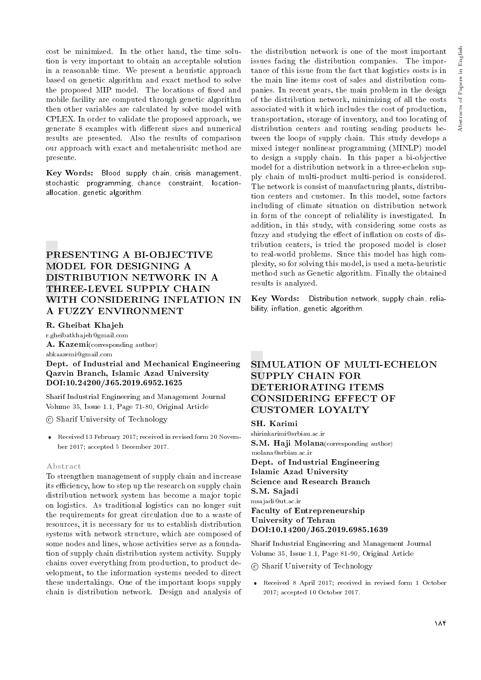cost be minimized. In the other hand, the time solution is very important to obtain an acceptable solution in a reasonable time. We present a heuristic approach based on genetic algorithm and exact method to solve the proposed MIP model. The locations of fixed and mobile facility are computed through genetic algorithm then other variables are calculated by solve model with CPLEX. In order to validate the proposed approach, we generate 8 examples with different sizes and numerical results are presented. Also the results of comparison our approach with exact and metaheurisitc method are presente.

Key Words: Blood supply chain, crisis management, stochastic programming, chance constraint, locationallocation, genetic algorithm.

# PRESENTING A BI-OBJECTIVE MODEL FOR DESIGNING A DISTRIBUTION NETWORK IN A THREE-LEVEL SUPPLY CHAIN WITH CONSIDERING INFLATION IN A FUZZY ENVIRONMENT

## R. Gheibat Khajeh

r.gheibatkhajeh@gmail.com

A. Kazemi(corresponding author) abkaazemi@gmail.com

Dept. of Industrial and Mechanical Engineering Qazvin Branch, Islamic Azad University DOI:10.24200/J65.2019.6952.1625

Sharif Industrial Engineering and Management Journal Volume 35, Issue 1.1, Page 71-80, Original Article

c Sharif University of Technology

 Received 13 February 2017; received in revised form 20 November 2017; accepted 5 December 2017.

#### Abstract

To strengthen management of supply chain and increase its efficiency, how to step up the research on supply chain distribution network system has become a major topic on logistics. As traditional logistics can no longer suit the requirements for great circulation due to a waste of resources, it is necessary for us to establish distribution systems with network structure, which are composed of some nodes and lines, whose activities serve as a foundation of supply chain distribution system activity. Supply chains cover everything from production, to product development, to the information systems needed to direct these undertakings. One of the important loops supply chain is distribution network. Design and analysis of the distribution network is one of the most important issues facing the distribution companies. The importance of this issue from the fact that logistics costs is in the main line items cost of sales and distribution companies. In recent years, the main problem in the design of the distribution network, minimizing of all the costs associated with it which includes the cost of production, transportation, storage of inventory, and too locating of distribution centers and routing sending products between the loops of supply chain. This study develops a mixed integer nonlinear programming (MINLP) model to design a supply chain. In this paper a bi-objective model for a distribution network in a three-echelon supply chain of multi-product multi-period is considered. The network is consist of manufacturing plants, distribution centers and customer. In this model, some factors including of climate situation on distribution network in form of the concept of reliability is investigated. In addition, in this study, with considering some costs as fuzzy and studying the effect of inflation on costs of distribution centers, is tried the proposed model is closer to real-world problems. Since this model has high complexity, so for solving this model, is used a meta-heuristic method such as Genetic algorithm. Finally the obtained results is analyzed.

Key Words: Distribution network, supply chain, reliability, inflation, genetic algorithm.

## SIMULATION OF MULTI-ECHELON SUPPLY CHAIN FOR DETERIORATING ITEMS CONSIDERING EFFECT OF CUSTOMER LOYALTY

SH. Karimi

shirinkarimi@srbiau.ac.ir S.M. Haji Molana (corresponding author) Dept. of Industrial Engineering Islamic Azad University Science and Research Branch S.M. Sajadi msajadi@ut.ac.ir Faculty of Entrepreneurship University of Tehran DOI:10.14200/J65.2019.6985.1639 molana@srbiau.ac.ir

Sharif Industrial Engineering and Management Journal Volume 35, Issue 1.1, Page 81-90, Original Article

c Sharif University of Technology

 Received 8 April 2017; received in revised form 1 October 2017; accepted 10 October 2017.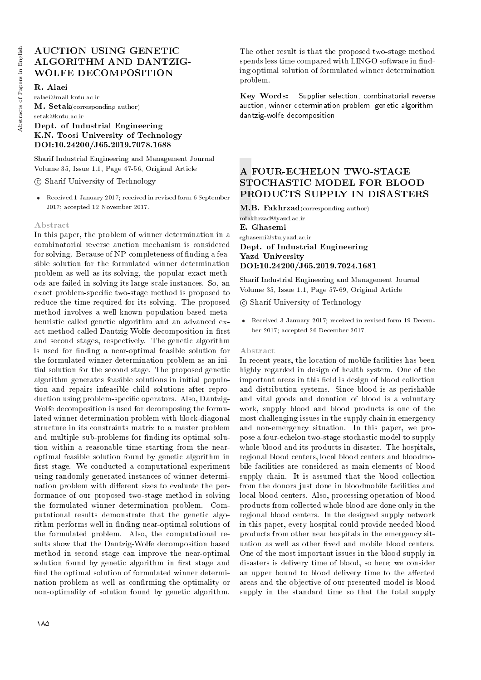# AUCTION USING GENETIC ALGORITHM AND DANTZIG-WOLFE DECOMPOSITION

R. Alaei

ralaei@mail.kntu.ac.ir M. Setak(corresponding author) setak@kntu.ac.ir

# Dept. of Industrial Engineering K.N. Toosi University of Technology DOI:10.24200/J65.2019.7078.1688

Sharif Industrial Engineering and Management Journal Volume 35, Issue 1.1, Page 47-56, Original Article

c Sharif University of Technology

 Received 1 January 2017; received in revised form 6 September 2017; accepted 12 November 2017.

## Abstract

In this paper, the problem of winner determination in a combinatorial reverse auction mechanism is considered for solving. Because of NP-completeness of finding a feasible solution for the formulated winner determination problem as well as its solving, the popular exact methods are failed in solving its large-scale instances. So, an exact problem-specic two-stage method is proposed to reduce the time required for its solving. The proposed method involves a well-known population-based metaheuristic called genetic algorithm and an advanced exact method called Dantzig-Wolfe decomposition in first and second stages, respectively. The genetic algorithm is used for nding a near-optimal feasible solution for the formulated winner determination problem as an initial solution for the second stage. The proposed genetic algorithm generates feasible solutions in initial population and repairs infeasible child solutions after reproduction using problem-specic operators. Also, Dantzig-Wolfe decomposition is used for decomposing the formulated winner determination problem with block-diagonal structure in its constraints matrix to a master problem and multiple sub-problems for nding its optimal solution within a reasonable time starting from the nearoptimal feasible solution found by genetic algorithm in first stage. We conducted a computational experiment using randomly generated instances of winner determination problem with different sizes to evaluate the performance of our proposed two-stage method in solving the formulated winner determination problem. Computational results demonstrate that the genetic algorithm performs well in finding near-optimal solutions of the formulated problem. Also, the computational results show that the Dantzig-Wolfe decomposition based method in second stage can improve the near-optimal solution found by genetic algorithm in first stage and find the optimal solution of formulated winner determination problem as well as confirming the optimality or non-optimality of solution found by genetic algorithm.

The other result is that the proposed two-stage method spends less time compared with LINGO software in finding optimal solution of formulated winner determination problem.

Key Words: Supplier selection, combinatorial reverse auction, winner determination problem, genetic algorithm, dantzig-wolfe decomposition.

# A FOUR-ECHELON TWO-STAGE STOCHASTIC MODEL FOR BLOOD PRODUCTS SUPPLY IN DISASTERS

M.B. Fakhrzad(corresponding author) mfakhrzad@yazd.ac.ir E. Ghasemi eghasemi@stu.yazd.ac.ir Dept. of Industrial Engineering Yazd University DOI:10.24200/J65.2019.7024.1681

Sharif Industrial Engineering and Management Journal Volume 35, Issue 1.1, Page 57-69, Original Article

c Sharif University of Technology

 Received 3 January 2017; received in revised form 19 December 2017; accepted 26 December 2017.

#### Abstract

In recent years, the location of mobile facilities has been highly regarded in design of health system. One of the important areas in this field is design of blood collection and distribution systems. Since blood is as perishable and vital goods and donation of blood is a voluntary work, supply blood and blood products is one of the most challenging issues in the supply chain in emergency and non-emergency situation. In this paper, we propose a four-echelon two-stage stochastic model to supply whole blood and its products in disaster. The hospitals, regional blood centers, local blood centers and bloodmobile facilities are considered as main elements of blood supply chain. It is assumed that the blood collection from the donors just done in bloodmobile facilities and local blood centers. Also, processing operation of blood products from collected whole blood are done only in the regional blood centers. In the designed supply network in this paper, every hospital could provide needed blood products from other near hospitals in the emergency situation as well as other fixed and mobile blood centers. One of the most important issues in the blood supply in disasters is delivery time of blood, so here; we consider an upper bound to blood delivery time to the affected areas and the objective of our presented model is blood supply in the standard time so that the total supply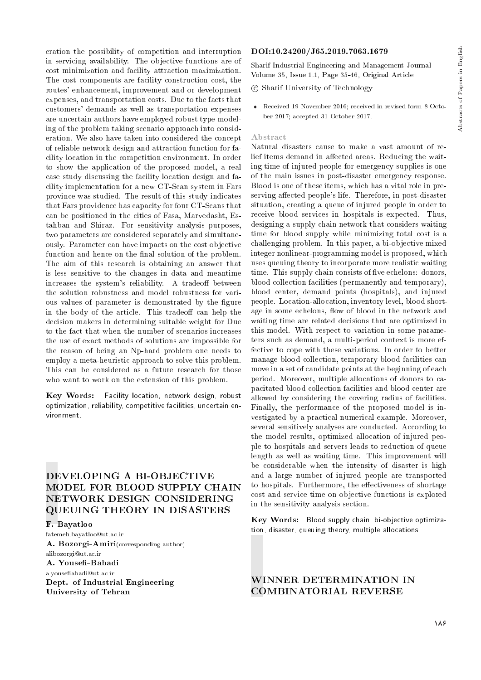eration the possibility of competition and interruption in servicing availability. The objective functions are of cost minimization and facility attraction maximization. The cost components are facility construction cost, the routes' enhancement, improvement and or development expenses, and transportation costs. Due to the facts that customers' demands as well as transportation expenses are uncertain authors have employed robust type modeling of the problem taking scenario approach into consideration. We also have taken into considered the concept of reliable network design and attraction function for facility location in the competition environment. In order to show the application of the proposed model, a real case study discussing the facility location design and facility implementation for a new CT-Scan system in Fars province was studied. The result of this study indicates that Fars providence has capacity for four CT-Scans that can be positioned in the cities of Fasa, Marvedasht, Estahban and Shiraz. For sensitivity analysis purposes, two parameters are considered separately and simultaneously. Parameter can have impacts on the cost objective function and hence on the final solution of the problem. The aim of this research is obtaining an answer that is less sensitive to the changes in data and meantime increases the system's reliability. A tradeoff between the solution robustness and model robustness for various values of parameter is demonstrated by the figure in the body of the article. This tradeoff can help the decision makers in determining suitable weight for Due to the fact that when the number of scenarios increases the use of exact methods of solutions are impossible for the reason of being an Np-hard problem one needs to employ a meta-heuristic approach to solve this problem. This can be considered as a future research for those who want to work on the extension of this problem.

Key Words: Facility location, network design, robust optimization, reliability, competitive facilities, uncertain environment.

# DEVELOPING A BI-OBJECTIVE MODEL FOR BLOOD SUPPLY CHAIN NETWORK DESIGN CONSIDERING QUEUING THEORY IN DISASTERS

## F. Bayatloo

fatemeh.bayatloo@ut.ac.ir A. Bozorgi-Amiri(corresponding author) alibozorgi@ut.ac.ir A. Yousefi-Babadi a.youseabadi@ut.ac.ir Dept. of Industrial Engineering University of Tehran

#### DOI:10.24200/J65.2019.7063.1679

Sharif Industrial Engineering and Management Journal Volume 35, Issue 1.1, Page 35-46, Original Article

c Sharif University of Technology

 Received 19 November 2016; received in revised form 8 October 2017; accepted 31 October 2017.

#### Abstract

Natural disasters cause to make a vast amount of relief items demand in affected areas. Reducing the waiting time of injured people for emergency supplies is one of the main issues in post-disaster emergency response. Blood is one of these items, which has a vital role in preserving affected people's life. Therefore, in post-disaster situation, creating a queue of injured people in order to receive blood services in hospitals is expected. Thus, designing a supply chain network that considers waiting time for blood supply while minimizing total cost is a challenging problem. In this paper, a bi-objective mixed integer nonlinear-programming model is proposed, which uses queuing theory to incorporate more realistic waiting time. This supply chain consists of five echelons: donors, blood collection facilities (permanently and temporary), blood center, demand points (hospitals), and injured people. Location-allocation, inventory level, blood shortage in some echelons, flow of blood in the network and waiting time are related decisions that are optimized in this model. With respect to variation in some parameters such as demand, a multi-period context is more effective to cope with these variations. In order to better manage blood collection, temporary blood facilities can move in a set of candidate points at the beginning of each period. Moreover, multiple allocations of donors to capacitated blood collection facilities and blood center are allowed by considering the covering radius of facilities. Finally, the performance of the proposed model is investigated by a practical numerical example. Moreover, several sensitively analyses are conducted. According to the model results, optimized allocation of injured people to hospitals and servers leads to reduction of queue length as well as waiting time. This improvement will be considerable when the intensity of disaster is high and a large number of injured people are transported to hospitals. Furthermore, the effectiveness of shortage cost and service time on objective functions is explored in the sensitivity analysis section.

Key Words: Blood supply chain, bi-objective optimization, disaster, queuing theory, multiple allocations.

# WINNER DETERMINATION IN COMBINATORIAL REVERSE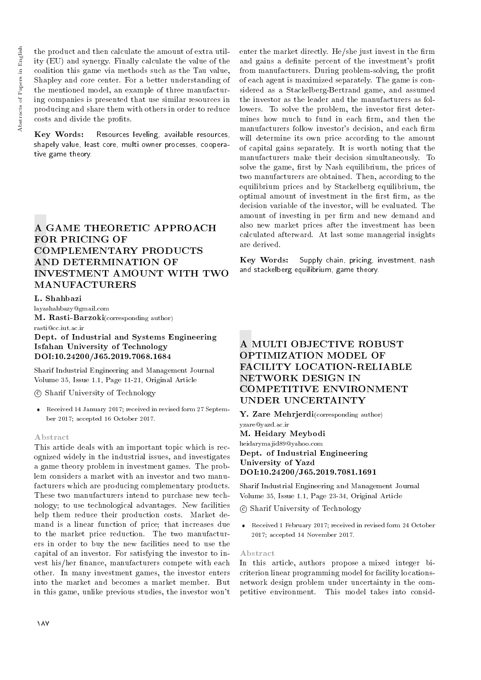Key Words: Resources leveling, available resources, shapely value, least core, multi owner processes, cooperative game theory.

# A GAME THEORETIC APPROACH FOR PRICING OF COMPLEMENTARY PRODUCTS AND DETERMINATION OF INVESTMENT AMOUNT WITH TWO MANUFACTURERS

## L. Shahbazi

layashahbazy@gmail.com M. Rasti-Barzoki(corresponding author) rasti@cc.iut.ac.ir

Dept. of Industrial and Systems Engineering Isfahan University of Technology DOI:10.24200/J65.2019.7068.1684

Sharif Industrial Engineering and Management Journal Volume 35, Issue 1.1, Page 11-21, Original Article

c Sharif University of Technology

 Received 14 January 2017; received in revised form 27 September 2017; accepted 16 October 2017.

#### Abstract

This article deals with an important topic which is recognized widely in the industrial issues, and investigates a game theory problem in investment games. The problem considers a market with an investor and two manufacturers which are producing complementary products. These two manufacturers intend to purchase new technology; to use technological advantages. New facilities help them reduce their production costs. Market demand is a linear function of price; that increases due to the market price reduction. The two manufacturers in order to buy the new facilities need to use the capital of an investor. For satisfying the investor to invest his/her finance, manufacturers compete with each other. In many investment games, the investor enters into the market and becomes a market member. But in this game, unlike previous studies, the investor won't

enter the market directly. He/she just invest in the firm and gains a definite percent of the investment's profit from manufacturers. During problem-solving, the profit of each agent is maximized separately. The game is considered as a Stackelberg-Bertrand game, and assumed the investor as the leader and the manufacturers as followers. To solve the problem, the investor first determines how much to fund in each firm, and then the manufacturers follow investor's decision, and each firm will determine its own price according to the amount of capital gains separately. It is worth noting that the manufacturers make their decision simultaneously. To solve the game, first by Nash equilibrium, the prices of two manufacturers are obtained. Then, according to the equilibrium prices and by Stackelberg equilibrium, the optimal amount of investment in the first firm, as the decision variable of the investor, will be evaluated. The amount of investing in per firm and new demand and also new market prices after the investment has been calculated afterward. At last some managerial insights are derived.

Key Words: Supply chain, pricing, investment, nash and stackelberg equilibrium, game theory.

# A MULTI OBJECTIVE ROBUST OPTIMIZATION MODEL OF FACILITY LOCATION-RELIABLE NETWORK DESIGN IN COMPETITIVE ENVIRONMENT UNDER UNCERTAINTY

Y. Zare Mehrjerdi(corresponding author) yzare@yazd.ac.ir M. Heidary Meybodi heidarymajid89@yahoo.com

Dept. of Industrial Engineering University of Yazd DOI:10.24200/J65.2019.7081.1691

Sharif Industrial Engineering and Management Journal Volume 35, Issue 1.1, Page 23-34, Original Article

c Sharif University of Technology

 Received 1 February 2017; received in revised form 24 October 2017; accepted 14 November 2017.

#### Abstract

In this article, authors propose a mixed integer bicriterion linear programming model for facility locationsnetwork design problem under uncertainty in the competitive environment. This model takes into consid-